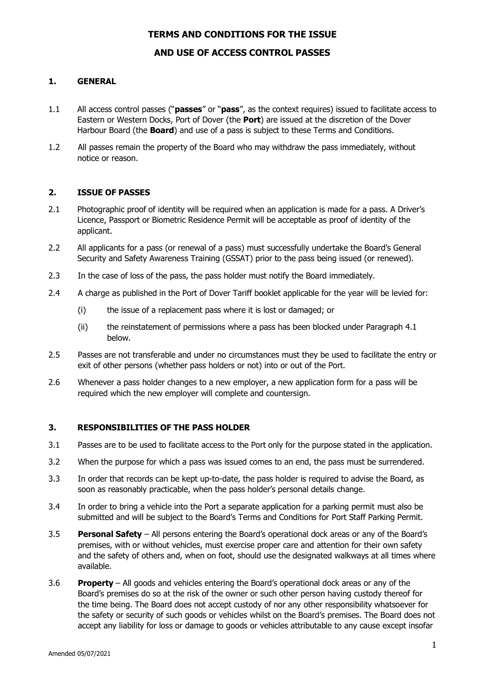### **TERMS AND CONDITIONS FOR THE ISSUE**

# **AND USE OF ACCESS CONTROL PASSES**

### **1. GENERAL**

- 1.1 All access control passes ("**passes**" or "**pass**", as the context requires) issued to facilitate access to Eastern or Western Docks, Port of Dover (the **Port**) are issued at the discretion of the Dover Harbour Board (the **Board**) and use of a pass is subject to these Terms and Conditions.
- 1.2 All passes remain the property of the Board who may withdraw the pass immediately, without notice or reason.

### **2. ISSUE OF PASSES**

- 2.1 Photographic proof of identity will be required when an application is made for a pass. A Driver's Licence, Passport or Biometric Residence Permit will be acceptable as proof of identity of the applicant.
- 2.2 All applicants for a pass (or renewal of a pass) must successfully undertake the Board's General Security and Safety Awareness Training (GSSAT) prior to the pass being issued (or renewed).
- 2.3 In the case of loss of the pass, the pass holder must notify the Board immediately.
- 2.4 A charge as published in the Port of Dover Tariff booklet applicable for the year will be levied for:
	- (i) the issue of a replacement pass where it is lost or damaged; or
	- (ii) the reinstatement of permissions where a pass has been blocked under Paragraph 4.1 below.
- 2.5 Passes are not transferable and under no circumstances must they be used to facilitate the entry or exit of other persons (whether pass holders or not) into or out of the Port.
- 2.6 Whenever a pass holder changes to a new employer, a new application form for a pass will be required which the new employer will complete and countersign.

### **3. RESPONSIBILITIES OF THE PASS HOLDER**

- 3.1 Passes are to be used to facilitate access to the Port only for the purpose stated in the application.
- 3.2 When the purpose for which a pass was issued comes to an end, the pass must be surrendered.
- 3.3 In order that records can be kept up-to-date, the pass holder is required to advise the Board, as soon as reasonably practicable, when the pass holder's personal details change.
- 3.4 In order to bring a vehicle into the Port a separate application for a parking permit must also be submitted and will be subject to the Board's Terms and Conditions for Port Staff Parking Permit.
- 3.5 **Personal Safety** All persons entering the Board's operational dock areas or any of the Board's premises, with or without vehicles, must exercise proper care and attention for their own safety and the safety of others and, when on foot, should use the designated walkways at all times where available.
- 3.6 **Property**  All goods and vehicles entering the Board's operational dock areas or any of the Board's premises do so at the risk of the owner or such other person having custody thereof for the time being. The Board does not accept custody of nor any other responsibility whatsoever for the safety or security of such goods or vehicles whilst on the Board's premises. The Board does not accept any liability for loss or damage to goods or vehicles attributable to any cause except insofar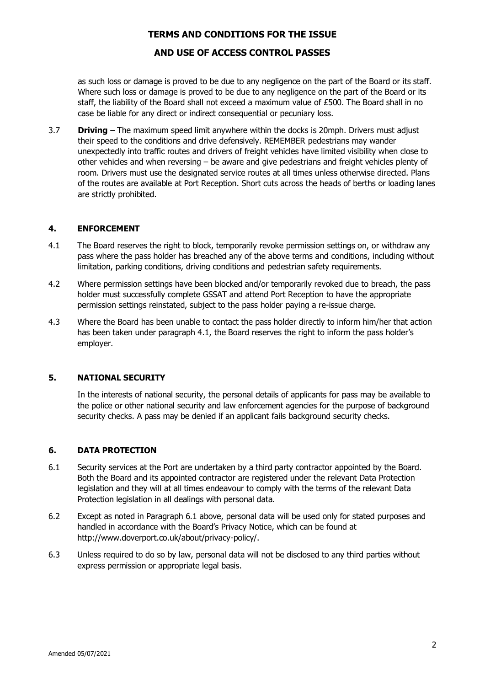### **TERMS AND CONDITIONS FOR THE ISSUE**

# **AND USE OF ACCESS CONTROL PASSES**

as such loss or damage is proved to be due to any negligence on the part of the Board or its staff. Where such loss or damage is proved to be due to any negligence on the part of the Board or its staff, the liability of the Board shall not exceed a maximum value of £500. The Board shall in no case be liable for any direct or indirect consequential or pecuniary loss.

3.7 **Driving** – The maximum speed limit anywhere within the docks is 20mph. Drivers must adjust their speed to the conditions and drive defensively. REMEMBER pedestrians may wander unexpectedly into traffic routes and drivers of freight vehicles have limited visibility when close to other vehicles and when reversing  $-$  be aware and give pedestrians and freight vehicles plenty of room. Drivers must use the designated service routes at all times unless otherwise directed. Plans of the routes are available at Port Reception. Short cuts across the heads of berths or loading lanes are strictly prohibited.

#### **4. ENFORCEMENT**

- 4.1 The Board reserves the right to block, temporarily revoke permission settings on, or withdraw any pass where the pass holder has breached any of the above terms and conditions, including without limitation, parking conditions, driving conditions and pedestrian safety requirements.
- 4.2 Where permission settings have been blocked and/or temporarily revoked due to breach, the pass holder must successfully complete GSSAT and attend Port Reception to have the appropriate permission settings reinstated, subject to the pass holder paying a re-issue charge.
- 4.3 Where the Board has been unable to contact the pass holder directly to inform him/her that action has been taken under paragraph 4.1, the Board reserves the right to inform the pass holder's employer.

### **5. NATIONAL SECURITY**

In the interests of national security, the personal details of applicants for pass may be available to the police or other national security and law enforcement agencies for the purpose of background security checks. A pass may be denied if an applicant fails background security checks.

#### **6. DATA PROTECTION**

- 6.1 Security services at the Port are undertaken by a third party contractor appointed by the Board. Both the Board and its appointed contractor are registered under the relevant Data Protection legislation and they will at all times endeavour to comply with the terms of the relevant Data Protection legislation in all dealings with personal data.
- 6.2 Except as noted in Paragraph 6.1 above, personal data will be used only for stated purposes and handled in accordance with the Board's Privacy Notice, which can be found at http://www.doverport.co.uk/about/privacy-policy/.
- 6.3 Unless required to do so by law, personal data will not be disclosed to any third parties without express permission or appropriate legal basis.